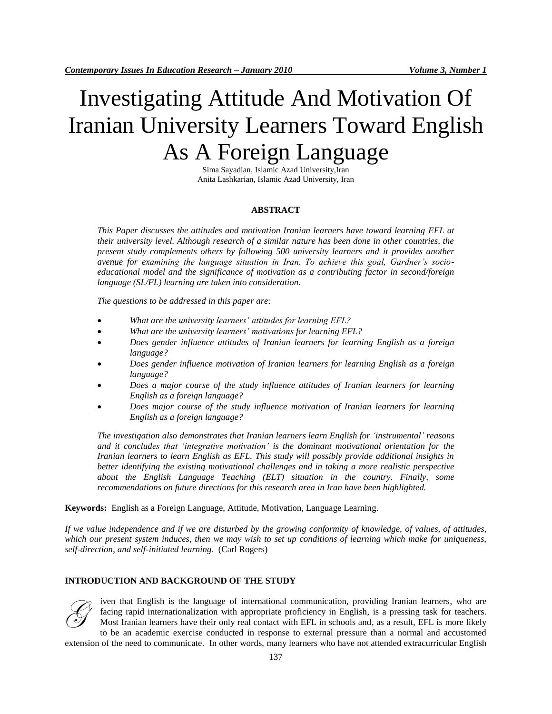# Investigating Attitude And Motivation Of Iranian University Learners Toward English As A Foreign Language

Sima Sayadian, Islamic Azad University,Iran Anita Lashkarian, Islamic Azad University, Iran

### **ABSTRACT**

*This Paper discusses the attitudes and motivation Iranian learners have toward learning EFL at their university level. Although research of a similar nature has been done in other countries, the present study complements others by following 500 university learners and it provides another avenue for examining the language situation in Iran. To achieve this goal, Gardner's socioeducational model and the significance of motivation as a contributing factor in second/foreign language (SL/FL) learning are taken into consideration.*

*The questions to be addressed in this paper are:*

- *What are the university learners' attitudes for learning EFL?*
- *What are the university learners' motivations for learning EFL?*
- *Does gender influence attitudes of Iranian learners for learning English as a foreign language?*
- *Does gender influence motivation of Iranian learners for learning English as a foreign language?*
- *Does a major course of the study influence attitudes of Iranian learners for learning English as a foreign language?*
- *Does major course of the study influence motivation of Iranian learners for learning English as a foreign language?*

*The investigation also demonstrates that Iranian learners learn English for 'instrumental' reasons and it concludes that 'integrative motivation' is the dominant motivational orientation for the Iranian learners to learn English as EFL. This study will possibly provide additional insights in better identifying the existing motivational challenges and in taking a more realistic perspective about the English Language Teaching (ELT) situation in the country. Finally, some recommendations on future directions for this research area in Iran have been highlighted.*

**Keywords:** English as a Foreign Language, Attitude, Motivation, Language Learning.

*If we value independence and if we are disturbed by the growing conformity of knowledge, of values, of attitudes, which our present system induces, then we may wish to set up conditions of learning which make for uniqueness, self-direction, and self-initiated learning*. [\(Carl Rogers\)](http://www.wisdomquotes.com/000320.html)

# **INTRODUCTION AND BACKGROUND OF THE STUDY**



iven that English is the language of international communication, providing Iranian learners, who are facing rapid internationalization with appropriate proficiency in English, is a pressing task for teachers. Most Iranian learners have their only real contact with EFL in schools and, as a result, EFL is more likely to be an academic exercise conducted in response to external pressure than a normal and accustomed

extension of the need to communicate. In other words, many learners who have not attended extracurricular English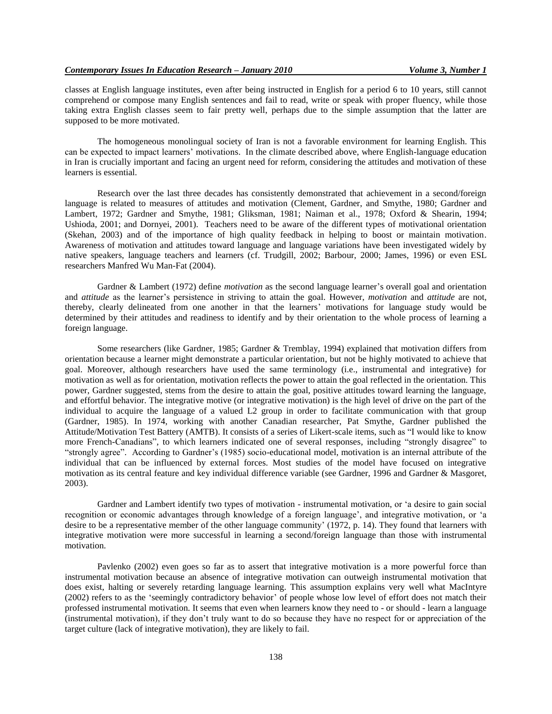classes at English language institutes, even after being instructed in English for a period 6 to 10 years, still cannot comprehend or compose many English sentences and fail to read, write or speak with proper fluency, while those taking extra English classes seem to fair pretty well, perhaps due to the simple assumption that the latter are supposed to be more motivated.

The homogeneous monolingual society of Iran is not a favorable environment for learning English. This can be expected to impact learners" motivations. In the climate described above, where English-language education in Iran is crucially important and facing an urgent need for reform, considering the attitudes and motivation of these learners is essential.

Research over the last three decades has consistently demonstrated that achievement in a second/foreign language is related to measures of attitudes and motivation (Clement, Gardner, and Smythe, 1980; Gardner and Lambert, 1972; Gardner and Smythe, 1981; Gliksman, 1981; Naiman et al., 1978; Oxford & Shearin, 1994; Ushioda, 2001; and Dornyei, 2001). Teachers need to be aware of the different types of motivational orientation (Skehan, 2003) and of the importance of high quality feedback in helping to boost or maintain motivation. Awareness of motivation and attitudes toward language and language variations have been investigated widely by native speakers, language teachers and learners (cf. Trudgill, 2002; Barbour, 2000; James, 1996) or even ESL researchers Manfred Wu Man-Fat (2004).

Gardner & Lambert (1972) define *motivation* as the second language learner"s overall goal and orientation and *attitude* as the learner"s persistence in striving to attain the goal. However, *motivation* and *attitude* are not, thereby, clearly delineated from one another in that the learners" motivations for language study would be determined by their attitudes and readiness to identify and by their orientation to the whole process of learning a foreign language.

Some researchers (like Gardner, 1985; Gardner & Tremblay, 1994) explained that motivation differs from orientation because a learner might demonstrate a particular orientation, but not be highly motivated to achieve that goal. Moreover, although researchers have used the same terminology (i.e., instrumental and integrative) for motivation as well as for orientation, motivation reflects the power to attain the goal reflected in the orientation. This power, Gardner suggested, stems from the desire to attain the goal, positive attitudes toward learning the language, and effortful behavior. The integrative motive (or integrative motivation) is the high level of drive on the part of the individual to acquire the language of a valued L2 group in order to facilitate communication with that group (Gardner, 1985). In 1974, working with another Canadian researcher, Pat Smythe, Gardner published the Attitude/Motivation Test Battery (AMTB). It consists of a series of Likert-scale items, such as "I would like to know more French-Canadians", to which learners indicated one of several responses, including "strongly disagree" to "strongly agree". According to Gardner"s (1985) socio-educational model, motivation is an internal attribute of the individual that can be influenced by external forces. Most studies of the model have focused on integrative motivation as its central feature and key individual difference variable (see Gardner, 1996 and Gardner & Masgoret, 2003).

Gardner and Lambert identify two types of motivation - instrumental motivation, or "a desire to gain social recognition or economic advantages through knowledge of a foreign language", and integrative motivation, or "a desire to be a representative member of the other language community' (1972, p. 14). They found that learners with integrative motivation were more successful in learning a second/foreign language than those with instrumental motivation.

Pavlenko (2002) even goes so far as to assert that integrative motivation is a more powerful force than instrumental motivation because an absence of integrative motivation can outweigh instrumental motivation that does exist, halting or severely retarding language learning. This assumption explains very well what MacIntyre (2002) refers to as the "seemingly contradictory behavior" of people whose low level of effort does not match their professed instrumental motivation. It seems that even when learners know they need to - or should - learn a language (instrumental motivation), if they don"t truly want to do so because they have no respect for or appreciation of the target culture (lack of integrative motivation), they are likely to fail.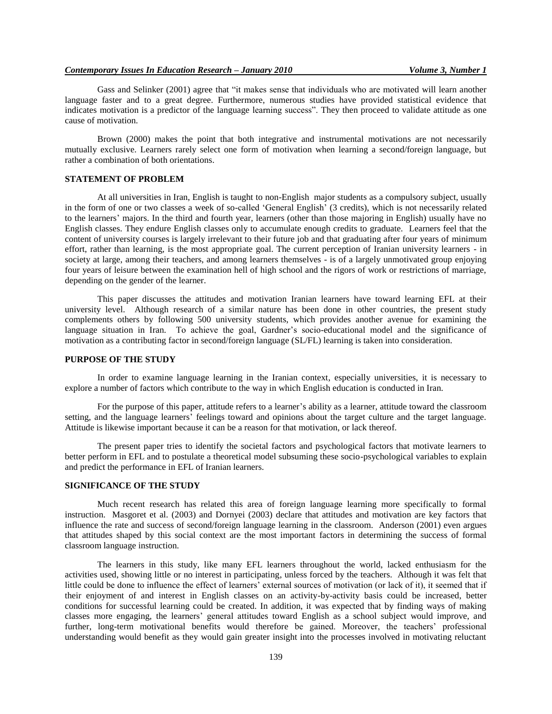## *Contemporary Issues In Education Research – January 2010 Volume 3, Number 1*

Gass and Selinker (2001) agree that "it makes sense that individuals who are motivated will learn another language faster and to a great degree. Furthermore, numerous studies have provided statistical evidence that indicates motivation is a predictor of the language learning success". They then proceed to validate attitude as one cause of motivation.

Brown (2000) makes the point that both integrative and instrumental motivations are not necessarily mutually exclusive. Learners rarely select one form of motivation when learning a second/foreign language, but rather a combination of both orientations.

# **STATEMENT OF PROBLEM**

At all universities in Iran, English is taught to non-English major students as a compulsory subject, usually in the form of one or two classes a week of so-called "General English" (3 credits), which is not necessarily related to the learners' majors. In the third and fourth year, learners (other than those majoring in English) usually have no English classes. They endure English classes only to accumulate enough credits to graduate. Learners feel that the content of university courses is largely irrelevant to their future job and that graduating after four years of minimum effort, rather than learning, is the most appropriate goal. The current perception of Iranian university learners - in society at large, among their teachers, and among learners themselves - is of a largely unmotivated group enjoying four years of leisure between the examination hell of high school and the rigors of work or restrictions of marriage, depending on the gender of the learner.

This paper discusses the attitudes and motivation Iranian learners have toward learning EFL at their university level. Although research of a similar nature has been done in other countries, the present study complements others by following 500 university students, which provides another avenue for examining the language situation in Iran. To achieve the goal, Gardner's socio-educational model and the significance of motivation as a contributing factor in second/foreign language (SL/FL) learning is taken into consideration.

## **PURPOSE OF THE STUDY**

In order to examine language learning in the Iranian context, especially universities, it is necessary to explore a number of factors which contribute to the way in which English education is conducted in Iran.

For the purpose of this paper, attitude refers to a learner's ability as a learner, attitude toward the classroom setting, and the language learners" feelings toward and opinions about the target culture and the target language. Attitude is likewise important because it can be a reason for that motivation, or lack thereof.

The present paper tries to identify the societal factors and psychological factors that motivate learners to better perform in EFL and to postulate a theoretical model subsuming these socio-psychological variables to explain and predict the performance in EFL of Iranian learners.

# **SIGNIFICANCE OF THE STUDY**

Much recent research has related this area of foreign language learning more specifically to formal instruction. Masgoret et al. (2003) and Dornyei (2003) declare that attitudes and motivation are key factors that influence the rate and success of second/foreign language learning in the classroom. Anderson (2001) even argues that attitudes shaped by this social context are the most important factors in determining the success of formal classroom language instruction.

The learners in this study, like many EFL learners throughout the world, lacked enthusiasm for the activities used, showing little or no interest in participating, unless forced by the teachers. Although it was felt that little could be done to influence the effect of learners" external sources of motivation (or lack of it), it seemed that if their enjoyment of and interest in English classes on an activity-by-activity basis could be increased, better conditions for successful learning could be created. In addition, it was expected that by finding ways of making classes more engaging, the learners" general attitudes toward English as a school subject would improve, and further, long-term motivational benefits would therefore be gained. Moreover, the teachers" professional understanding would benefit as they would gain greater insight into the processes involved in motivating reluctant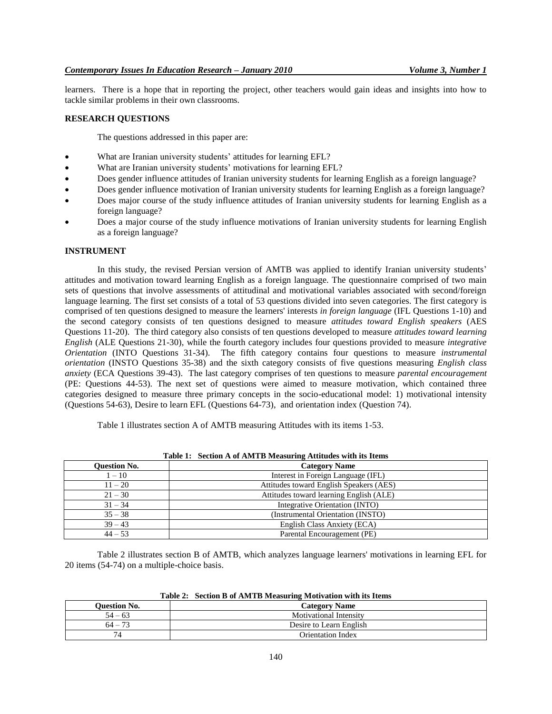learners. There is a hope that in reporting the project, other teachers would gain ideas and insights into how to tackle similar problems in their own classrooms.

# **RESEARCH QUESTIONS**

The questions addressed in this paper are:

- What are Iranian university students' attitudes for learning EFL?
- What are Iranian university students' motivations for learning EFL?
- Does gender influence attitudes of Iranian university students for learning English as a foreign language?
- Does gender influence motivation of Iranian university students for learning English as a foreign language?
- Does major course of the study influence attitudes of Iranian university students for learning English as a foreign language?
- Does a major course of the study influence motivations of Iranian university students for learning English as a foreign language?

#### **INSTRUMENT**

In this study, the revised Persian version of AMTB was applied to identify Iranian university students' attitudes and motivation toward learning English as a foreign language. The questionnaire comprised of two main sets of questions that involve assessments of attitudinal and motivational variables associated with second/foreign language learning. The first set consists of a total of 53 questions divided into seven categories. The first category is comprised of ten questions designed to measure the learners' interests *in foreign language* (IFL Questions 1-10) and the second category consists of ten questions designed to measure *attitudes toward English speakers* (AES Questions 11-20). The third category also consists of ten questions developed to measure *attitudes toward learning English* (ALE Questions 21-30), while the fourth category includes four questions provided to measure *integrative Orientation* (INTO Questions 31-34). The fifth category contains four questions to measure *instrumental orientation* (INSTO Questions 35-38) and the sixth category consists of five questions measuring *English class anxiety* (ECA Questions 39-43). The last category comprises of ten questions to measure *parental encouragement* (PE: Questions 44-53). The next set of questions were aimed to measure motivation, which contained three categories designed to measure three primary concepts in the socio-educational model: 1) motivational intensity (Questions 54-63), Desire to learn EFL (Questions 64-73), and orientation index (Question 74).

Table 1 illustrates section A of AMTB measuring Attitudes with its items 1-53.

|                     | <b>Table 1:</b> Section A of AM IB Measuring Attitudes with its flems |  |  |
|---------------------|-----------------------------------------------------------------------|--|--|
| <b>Question No.</b> | <b>Category Name</b>                                                  |  |  |
| $1 - 10$            | Interest in Foreign Language (IFL)                                    |  |  |
| $11 - 20$           | Attitudes toward English Speakers (AES)                               |  |  |
| $21 - 30$           | Attitudes toward learning English (ALE)                               |  |  |
| $31 - 34$           | Integrative Orientation (INTO)                                        |  |  |
| $35 - 38$           | (Instrumental Orientation (INSTO)                                     |  |  |
| $39 - 43$           | English Class Anxiety (ECA)                                           |  |  |
| $44 - 53$           | Parental Encouragement (PE)                                           |  |  |

**Table 1: Section A of AMTB Measuring Attitudes with its Items**

Table 2 illustrates section B of AMTB, which analyzes language learners' motivations in learning EFL for 20 items (54-74) on a multiple-choice basis.

| Table 2: Section B of AMTB Measuring Motivation with its Items |  |  |  |  |  |
|----------------------------------------------------------------|--|--|--|--|--|
|----------------------------------------------------------------|--|--|--|--|--|

| <b>Ouestion No.</b>   | <b>Category Name</b>          |
|-----------------------|-------------------------------|
| $54 - 63$             | <b>Motivational Intensity</b> |
| $\mathbf{a}$<br>$64-$ | Desire to Learn English       |
|                       | Orientation Index             |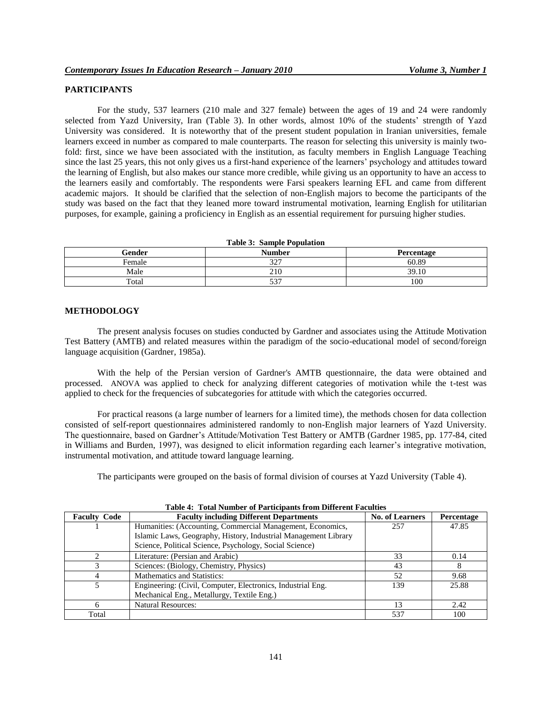# **PARTICIPANTS**

For the study, 537 learners (210 male and 327 female) between the ages of 19 and 24 were randomly selected from Yazd University, Iran (Table 3). In other words, almost 10% of the students' strength of Yazd University was considered. It is noteworthy that of the present student population in Iranian universities, female learners exceed in number as compared to male counterparts. The reason for selecting this university is mainly twofold: first, since we have been associated with the institution, as faculty members in English Language Teaching since the last 25 years, this not only gives us a first-hand experience of the learners" psychology and attitudes toward the learning of English, but also makes our stance more credible, while giving us an opportunity to have an access to the learners easily and comfortably. The respondents were Farsi speakers learning EFL and came from different academic majors. It should be clarified that the selection of non-English majors to become the participants of the study was based on the fact that they leaned more toward instrumental motivation, learning English for utilitarian purposes, for example, gaining a proficiency in English as an essential requirement for pursuing higher studies.

| <b>Table 3: Sample Population</b> |               |            |  |  |
|-----------------------------------|---------------|------------|--|--|
| Gender                            | <b>Number</b> | Percentage |  |  |
| Female                            | 327           | 60.89      |  |  |
| Male                              | 210           | 39.10      |  |  |
| Total                             | 537           | 100        |  |  |

#### **METHODOLOGY**

The present analysis focuses on studies conducted by Gardner and associates using the Attitude Motivation Test Battery (AMTB) and related measures within the paradigm of the socio-educational model of second/foreign language acquisition (Gardner, 1985a).

With the help of the Persian version of Gardner's AMTB questionnaire, the data were obtained and processed. ANOVA was applied to check for analyzing different categories of motivation while the t-test was applied to check for the frequencies of subcategories for attitude with which the categories occurred.

For practical reasons (a large number of learners for a limited time), the methods chosen for data collection consisted of self-report questionnaires administered randomly to non-English major learners of Yazd University. The questionnaire, based on Gardner"s Attitude/Motivation Test Battery or AMTB (Gardner 1985, pp. 177-84, cited in Williams and Burden, 1997), was designed to elicit information regarding each learner"s integrative motivation, instrumental motivation, and attitude toward language learning.

The participants were grouped on the basis of formal division of courses at Yazd University (Table 4).

| <b>Faculty Code</b> | <b>Faculty including Different Departments</b>                  | <b>No. of Learners</b> | Percentage |
|---------------------|-----------------------------------------------------------------|------------------------|------------|
|                     | Humanities: (Accounting, Commercial Management, Economics,      | 257                    | 47.85      |
|                     | Islamic Laws, Geography, History, Industrial Management Library |                        |            |
|                     | Science, Political Science, Psychology, Social Science)         |                        |            |
|                     | Literature: (Persian and Arabic)                                | 33                     | 0.14       |
|                     | Sciences: (Biology, Chemistry, Physics)                         | 43                     |            |
|                     | <b>Mathematics and Statistics:</b>                              | 52                     | 9.68       |
|                     | Engineering: (Civil, Computer, Electronics, Industrial Eng.)    | 139                    | 25.88      |
|                     | Mechanical Eng., Metallurgy, Textile Eng.)                      |                        |            |
|                     | <b>Natural Resources:</b>                                       |                        | 2.42       |
| Total               |                                                                 | 537                    | 100        |

**Table 4: Total Number of Participants from Different Faculties**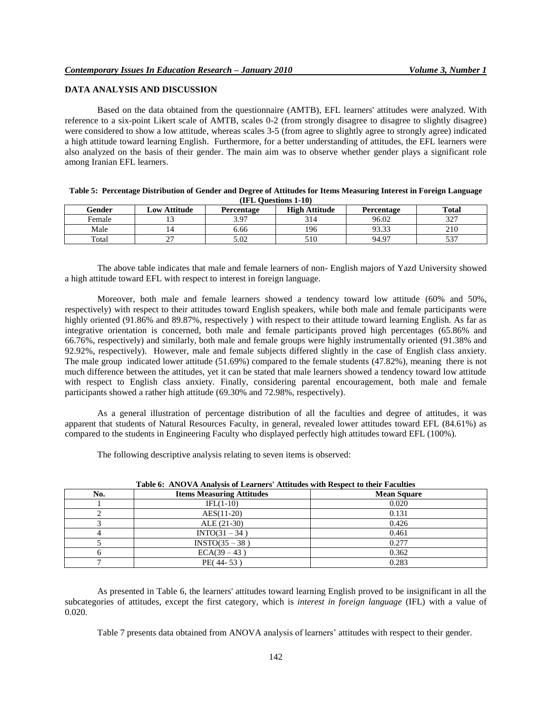# **DATA ANALYSIS AND DISCUSSION**

Based on the data obtained from the questionnaire (AMTB), EFL learners' attitudes were analyzed. With reference to a six-point Likert scale of AMTB, scales 0-2 (from strongly disagree to disagree to slightly disagree) were considered to show a low attitude, whereas scales 3-5 (from agree to slightly agree to strongly agree) indicated a high attitude toward learning English. Furthermore, for a better understanding of attitudes, the EFL learners were also analyzed on the basis of their gender. The main aim was to observe whether gender plays a significant role among Iranian EFL learners.

| Table 5: Percentage Distribution of Gender and Degree of Attitudes for Items Measuring Interest in Foreign Language |  |  |
|---------------------------------------------------------------------------------------------------------------------|--|--|
| (IFL Questions 1-10)                                                                                                |  |  |

| Gender | Low Attitude | Percentage       | <b>High Attitude</b> | Percentage | <b>Total</b>      |
|--------|--------------|------------------|----------------------|------------|-------------------|
| Female |              | 3 Q7<br>J.J      | 314                  | 96.02      | つつつ<br>ا سا ب     |
| Male   |              | 6.66             | 196                  | 93.33      | 210               |
| Total  | $\sim$<br>∼  | $\Omega$<br>3.UZ | 510                  | 94.97      | ヒつワ<br><u>، ر</u> |

The above table indicates that male and female learners of non- English majors of Yazd University showed a high attitude toward EFL with respect to interest in foreign language.

Moreover, both male and female learners showed a tendency toward low attitude (60% and 50%, respectively) with respect to their attitudes toward English speakers, while both male and female participants were highly oriented (91.86% and 89.87%, respectively) with respect to their attitude toward learning English. As far as integrative orientation is concerned, both male and female participants proved high percentages (65.86% and 66.76%, respectively) and similarly, both male and female groups were highly instrumentally oriented (91.38% and 92.92%, respectively). However, male and female subjects differed slightly in the case of English class anxiety. The male group indicated lower attitude (51.69%) compared to the female students (47.82%), meaning there is not much difference between the attitudes, yet it can be stated that male learners showed a tendency toward low attitude with respect to English class anxiety. Finally, considering parental encouragement, both male and female participants showed a rather high attitude (69.30% and 72.98%, respectively).

As a general illustration of percentage distribution of all the faculties and degree of attitudes, it was apparent that students of Natural Resources Faculty, in general, revealed lower attitudes toward EFL (84.61%) as compared to the students in Engineering Faculty who displayed perfectly high attitudes toward EFL (100%).

The following descriptive analysis relating to seven items is observed:

|     | Table 0: AlvO VA Allatysis of Leaf here Attitudes with Respect to their Paculties |                    |  |  |  |
|-----|-----------------------------------------------------------------------------------|--------------------|--|--|--|
| No. | <b>Items Measuring Attitudes</b>                                                  | <b>Mean Square</b> |  |  |  |
|     | $IFL(1-10)$                                                                       | 0.020              |  |  |  |
|     | $AES(11-20)$                                                                      | 0.131              |  |  |  |
|     | $ALE (21-30)$                                                                     | 0.426              |  |  |  |
|     | $INTO(31 - 34)$                                                                   | 0.461              |  |  |  |
|     | $INTO(35 - 38)$                                                                   | 0.277              |  |  |  |
|     | $ECA(39 - 43)$                                                                    | 0.362              |  |  |  |
|     | PE(44-53)                                                                         | 0.283              |  |  |  |

**Table 6: ANOVA Analysis of Learners' Attitudes with Respect to their Faculties**

As presented in Table 6, the learners' attitudes toward learning English proved to be insignificant in all the subcategories of attitudes, except the first category, which is *interest in foreign language* (IFL) with a value of 0.020.

Table 7 presents data obtained from ANOVA analysis of learners' attitudes with respect to their gender.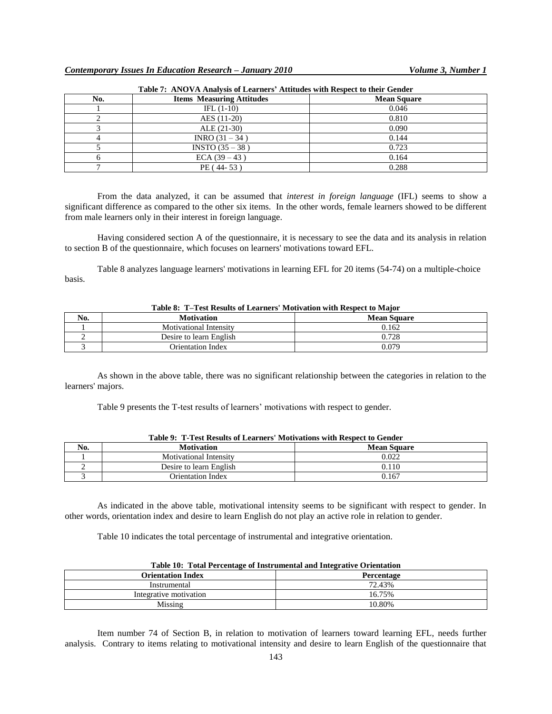| No. | <b>Items Measuring Attitudes</b> | <b>Mean Square</b> |
|-----|----------------------------------|--------------------|
|     | IFL $(1-10)$                     | 0.046              |
|     | AES (11-20)                      | 0.810              |
|     | $ALE (21-30)$                    | 0.090              |
|     | INRO (31 – 34)                   | 0.144              |
|     | $INSTO (35 - 38)$                | 0.723              |
|     | $ECA (39 - 43)$                  | 0.164              |
|     | PE (44-53)                       | 0.288              |

| Table 7: ANOVA Analysis of Learners' Attitudes with Respect to their Gender |  |  |  |  |
|-----------------------------------------------------------------------------|--|--|--|--|
|-----------------------------------------------------------------------------|--|--|--|--|

From the data analyzed, it can be assumed that *interest in foreign language* (IFL) seems to show a significant difference as compared to the other six items. In the other words, female learners showed to be different from male learners only in their interest in foreign language.

Having considered section A of the questionnaire, it is necessary to see the data and its analysis in relation to section B of the questionnaire, which focuses on learners' motivations toward EFL.

Table 8 analyzes language learners' motivations in learning EFL for 20 items (54-74) on a multiple-choice basis.

| $\mathbf{r}$<br>No. | <b>Motivation</b>             | <b>Mean Square</b> |
|---------------------|-------------------------------|--------------------|
|                     | <b>Motivational Intensity</b> | 0.162              |
|                     | Desire to learn English       | .728               |
|                     | <b>Orientation Index</b>      | 0.079              |

| Table 8: T-Test Results of Learners' Motivation with Respect to Major |  |  |
|-----------------------------------------------------------------------|--|--|
|-----------------------------------------------------------------------|--|--|

As shown in the above table, there was no significant relationship between the categories in relation to the learners' majors.

Table 9 presents the T-test results of learners' motivations with respect to gender.

| No. | <b>Motivation</b><br><b>Mean Square</b> |       |  |
|-----|-----------------------------------------|-------|--|
|     | <b>Motivational Intensity</b>           | 0.022 |  |
|     | Desire to learn English                 | 0.110 |  |
|     | Orientation Index                       | 0.167 |  |

|  |  | Table 9: T-Test Results of Learners' Motivations with Respect to Gender |  |  |
|--|--|-------------------------------------------------------------------------|--|--|
|  |  |                                                                         |  |  |

As indicated in the above table, motivational intensity seems to be significant with respect to gender. In other words, orientation index and desire to learn English do not play an active role in relation to gender.

Table 10 indicates the total percentage of instrumental and integrative orientation.

| Table TV: Total Fercentage of Histrumental and Thregraftve Orientation |                          |                   |  |
|------------------------------------------------------------------------|--------------------------|-------------------|--|
|                                                                        | <b>Orientation Index</b> | <b>Percentage</b> |  |
|                                                                        | Instrumental             | 72.43%            |  |
|                                                                        | Integrative motivation   | 16.75%            |  |
|                                                                        | Missing                  | 10.80%            |  |

| Table 10: Total Percentage of Instrumental and Integrative Orientation |  |  |
|------------------------------------------------------------------------|--|--|
|                                                                        |  |  |

Item number 74 of Section B, in relation to motivation of learners toward learning EFL, needs further analysis. Contrary to items relating to motivational intensity and desire to learn English of the questionnaire that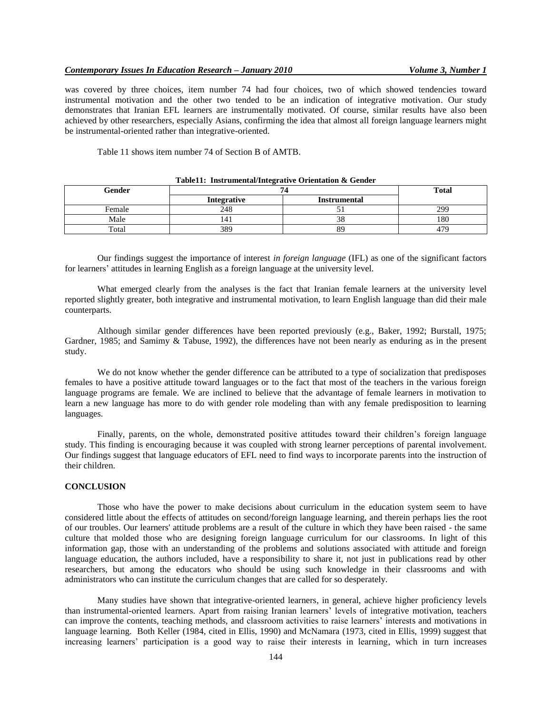was covered by three choices, item number 74 had four choices, two of which showed tendencies toward instrumental motivation and the other two tended to be an indication of integrative motivation. Our study demonstrates that Iranian EFL learners are instrumentally motivated. Of course, similar results have also been achieved by other researchers, especially Asians, confirming the idea that almost all foreign language learners might be instrumental-oriented rather than integrative-oriented.

Table 11 shows item number 74 of Section B of AMTB.

| Gender |             | <b>Total</b>        |     |
|--------|-------------|---------------------|-----|
|        | Integrative | <b>Instrumental</b> |     |
| Female | 248         |                     | 299 |
| Male   | 14.         | 38                  | 180 |
| Total  | 389         | 89                  | 479 |

|  | Table11: Instrumental/Integrative Orientation & Gender |  |
|--|--------------------------------------------------------|--|
|--|--------------------------------------------------------|--|

Our findings suggest the importance of interest *in foreign language* (IFL) as one of the significant factors for learners' attitudes in learning English as a foreign language at the university level.

What emerged clearly from the analyses is the fact that Iranian female learners at the university level reported slightly greater, both integrative and instrumental motivation, to learn English language than did their male counterparts.

Although similar gender differences have been reported previously (e.g., Baker, 1992; Burstall, 1975; Gardner, 1985; and Samimy & Tabuse, 1992), the differences have not been nearly as enduring as in the present study.

We do not know whether the gender difference can be attributed to a type of socialization that predisposes females to have a positive attitude toward languages or to the fact that most of the teachers in the various foreign language programs are female. We are inclined to believe that the advantage of female learners in motivation to learn a new language has more to do with gender role modeling than with any female predisposition to learning languages.

Finally, parents, on the whole, demonstrated positive attitudes toward their children"s foreign language study. This finding is encouraging because it was coupled with strong learner perceptions of parental involvement. Our findings suggest that language educators of EFL need to find ways to incorporate parents into the instruction of their children.

# **CONCLUSION**

Those who have the power to make decisions about curriculum in the education system seem to have considered little about the effects of attitudes on second/foreign language learning, and therein perhaps lies the root of our troubles. Our learners' attitude problems are a result of the culture in which they have been raised - the same culture that molded those who are designing foreign language curriculum for our classrooms. In light of this information gap, those with an understanding of the problems and solutions associated with attitude and foreign language education, the authors included, have a responsibility to share it, not just in publications read by other researchers, but among the educators who should be using such knowledge in their classrooms and with administrators who can institute the curriculum changes that are called for so desperately.

Many studies have shown that integrative-oriented learners, in general, achieve higher proficiency levels than instrumental-oriented learners. Apart from raising Iranian learners" levels of integrative motivation, teachers can improve the contents, teaching methods, and classroom activities to raise learners" interests and motivations in language learning. Both Keller (1984, cited in Ellis, 1990) and McNamara (1973, cited in Ellis, 1999) suggest that increasing learners" participation is a good way to raise their interests in learning, which in turn increases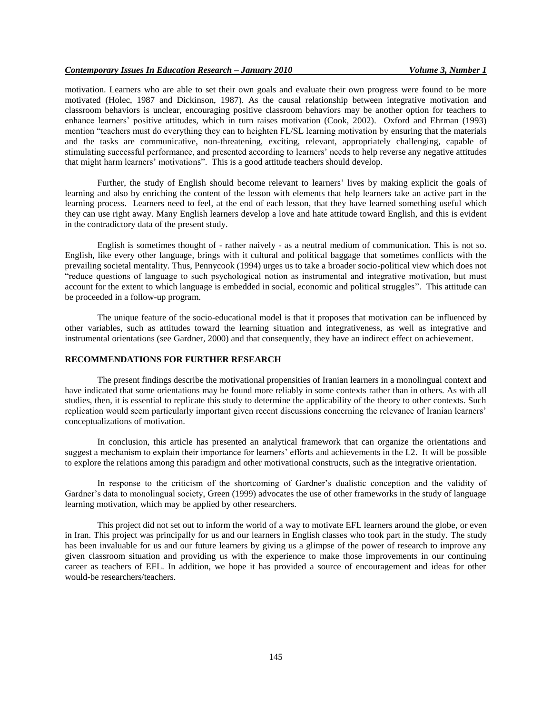motivation. Learners who are able to set their own goals and evaluate their own progress were found to be more motivated (Holec, 1987 and Dickinson, 1987). As the causal relationship between integrative motivation and classroom behaviors is unclear, encouraging positive classroom behaviors may be another option for teachers to enhance learners" positive attitudes, which in turn raises motivation (Cook, 2002). Oxford and Ehrman (1993) mention "teachers must do everything they can to heighten FL/SL learning motivation by ensuring that the materials and the tasks are communicative, non-threatening, exciting, relevant, appropriately challenging, capable of stimulating successful performance, and presented according to learners" needs to help reverse any negative attitudes that might harm learners" motivations". This is a good attitude teachers should develop.

Further, the study of English should become relevant to learners" lives by making explicit the goals of learning and also by enriching the content of the lesson with elements that help learners take an active part in the learning process. Learners need to feel, at the end of each lesson, that they have learned something useful which they can use right away. Many English learners develop a love and hate attitude toward English, and this is evident in the contradictory data of the present study.

English is sometimes thought of - rather naively - as a neutral medium of communication. This is not so. English, like every other language, brings with it cultural and political baggage that sometimes conflicts with the prevailing societal mentality. Thus, Pennycook (1994) urges us to take a broader socio-political view which does not "reduce questions of language to such psychological notion as instrumental and integrative motivation, but must account for the extent to which language is embedded in social, economic and political struggles". This attitude can be proceeded in a follow-up program.

The unique feature of the socio-educational model is that it proposes that motivation can be influenced by other variables, such as attitudes toward the learning situation and integrativeness, as well as integrative and instrumental orientations (see Gardner, 2000) and that consequently, they have an indirect effect on achievement.

## **RECOMMENDATIONS FOR FURTHER RESEARCH**

The present findings describe the motivational propensities of Iranian learners in a monolingual context and have indicated that some orientations may be found more reliably in some contexts rather than in others. As with all studies, then, it is essential to replicate this study to determine the applicability of the theory to other contexts. Such replication would seem particularly important given recent discussions concerning the relevance of Iranian learners" conceptualizations of motivation.

In conclusion, this article has presented an analytical framework that can organize the orientations and suggest a mechanism to explain their importance for learners' efforts and achievements in the L2. It will be possible to explore the relations among this paradigm and other motivational constructs, such as the integrative orientation.

In response to the criticism of the shortcoming of Gardner's dualistic conception and the validity of Gardner's data to monolingual society, Green (1999) advocates the use of other frameworks in the study of language learning motivation, which may be applied by other researchers.

This project did not set out to inform the world of a way to motivate EFL learners around the globe, or even in Iran. This project was principally for us and our learners in English classes who took part in the study. The study has been invaluable for us and our future learners by giving us a glimpse of the power of research to improve any given classroom situation and providing us with the experience to make those improvements in our continuing career as teachers of EFL. In addition, we hope it has provided a source of encouragement and ideas for other would-be researchers/teachers.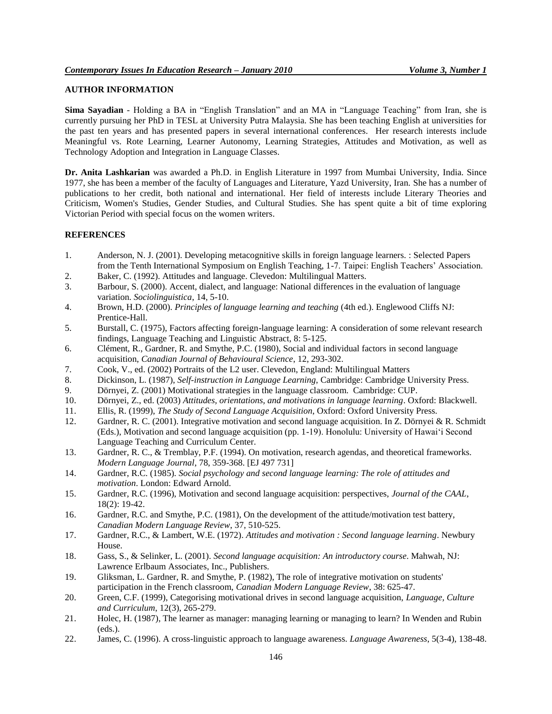# **AUTHOR INFORMATION**

**Sima Sayadian** *-* Holding a BA in "English Translation" and an MA in "Language Teaching" from Iran, she is currently pursuing her PhD in TESL at University Putra Malaysia. She has been teaching English at universities for the past ten years and has presented papers in several international conferences. Her research interests include Meaningful vs. Rote Learning, Learner Autonomy, Learning Strategies, Attitudes and Motivation, as well as Technology Adoption and Integration in Language Classes.

**Dr. Anita Lashkarian** was awarded a Ph.D. in English Literature in 1997 from Mumbai University, India. Since 1977, she has been a member of the faculty of Languages and Literature, Yazd University, Iran. She has a number of publications to her credit, both national and international. Her field of interests include Literary Theories and Criticism, Women's Studies, Gender Studies, and Cultural Studies. She has spent quite a bit of time exploring Victorian Period with special focus on the women writers.

#### **REFERENCES**

- 1. Anderson, N. J. (2001). Developing metacognitive skills in foreign language learners. : Selected Papers from the Tenth International Symposium on English Teaching, 1-7. Taipei: English Teachers" Association.
- 2. Baker, C. (1992). Attitudes and language. Clevedon: Multilingual Matters.
- 3. Barbour, S. (2000). Accent, dialect, and language: National differences in the evaluation of language variation. *Sociolinguistica*, 14, 5-10.
- 4. Brown, H.D. (2000). *Principles of language learning and teaching* (4th ed.). Englewood Cliffs NJ: Prentice-Hall.
- 5. Burstall, C. (1975), Factors affecting foreign-language learning: A consideration of some relevant research findings, Language Teaching and Linguistic Abstract, 8: 5-125.
- 6. Clément, R., Gardner, R. and Smythe, P.C. (1980), Social and individual factors in second language acquisition, *Canadian Journal of Behavioural Science*, 12, 293-302.
- 7. Cook, V., ed. (2002) Portraits of the L2 user. Clevedon, England: Multilingual Matters
- 8. Dickinson, L. (1987), *Self-instruction in Language Learning*, Cambridge: Cambridge University Press.
- 9. Dörnyei, Z. (2001) Motivational strategies in the language classroom. Cambridge: CUP.
- 10. Dörnyei, Z., ed. (2003) *Attitudes, orientations, and motivations in language learning*. Oxford: Blackwell.
- 11. Ellis, R. (1999), *The Study of Second Language Acquisition*, Oxford: Oxford University Press.
- 12. Gardner, R. C. (2001). Integrative motivation and second language acquisition. In Z. Dörnyei & R. Schmidt (Eds.), Motivation and second language acquisition (pp. 1-19). Honolulu: University of Hawai"i Second Language Teaching and Curriculum Center.
- 13. Gardner, R. C., & Tremblay, P.F. (1994). On motivation, research agendas, and theoretical frameworks. *Modern Language Journal*, 78, 359-368. [EJ 497 731]
- 14. Gardner, R.C. (1985). *Social psychology and second language learning: The role of attitudes and motivation*. London: Edward Arnold.
- 15. Gardner, R.C. (1996), Motivation and second language acquisition: perspectives, *Journal of the CAAL*, 18(2): 19-42.
- 16. Gardner, R.C. and Smythe, P.C. (1981), On the development of the attitude/motivation test battery, *Canadian Modern Language Review*, 37, 510-525.
- 17. Gardner, R.C., & Lambert, W.E. (1972). *Attitudes and motivation : Second language learning*. Newbury House.
- 18. Gass, S., & Selinker, L. (2001). *Second language acquisition: An introductory course*. Mahwah, NJ: Lawrence Erlbaum Associates, Inc., Publishers.
- 19. Gliksman, L. Gardner, R. and Smythe, P. (1982), The role of integrative motivation on students' participation in the French classroom, *Canadian Modern Language Review*, 38: 625-47.
- 20. Green, C.F. (1999), Categorising motivational drives in second language acquisition, *Language, Culture and Curriculum*, 12(3), 265-279.
- 21. Holec, H. (1987), The learner as manager: managing learning or managing to learn? In Wenden and Rubin (eds.).
- 22. James, C. (1996). A cross-linguistic approach to language awareness. *Language Awareness*, 5(3-4), 138-48.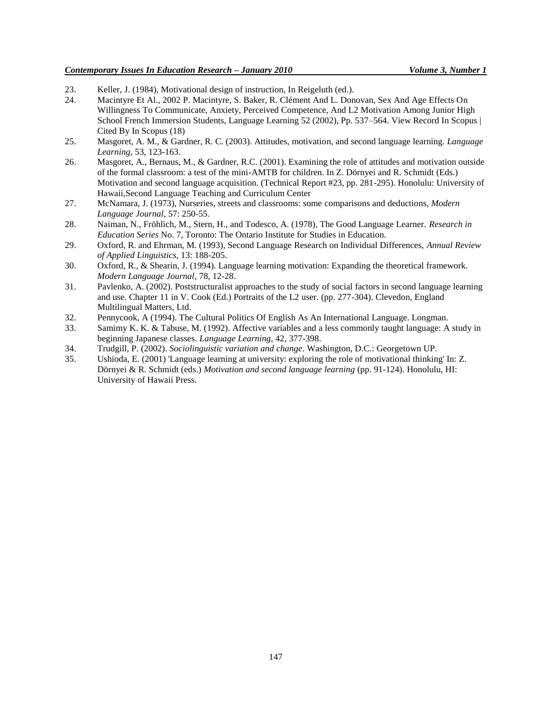# *Contemporary Issues In Education Research – January 2010 Volume 3, Number 1*

- 23. Keller, J. (1984), Motivational design of instruction, In Reigeluth (ed.).
- 24. [Macintyre Et Al., 2002](http://www.sciencedirect.com/science?_ob=ArticleURL&_udi=B6VCH-4TKXD5C-1&_user=152286&_rdoc=1&_fmt=&_orig=search&_sort=d&view=c&_acct=C000012478&_version=1&_urlVersion=0&_userid=152286&md5=fca5177bdd3a30c39c1e3d0fac8ecae0#bbib27) P. Macintyre, S. Baker, R. Clément And L. Donovan, Sex And Age Effects On Willingness To Communicate, Anxiety, Perceived Competence, And L2 Motivation Among Junior High School French Immersion Students, Language Learning 52 (2002), Pp. 537–564. [View Record In Scopus](http://www.sciencedirect.com/science?_ob=RedirectURL&_method=outwardLink&_partnerName=655&_targetURL=http%3A%2F%2Fwww.scopus.com%2Fscopus%2Finward%2Frecord.url%3Feid%3D2-s2.0-0036024656%26partnerID%3D10%26rel%3DR3.0.0%26md5%3Db0e61c9c3982805e2029081b9438267c&_acct=C000012478&_version=1&_userid=152286&md5=e8d4aa39757f02d9ed5e088adbb5238b) | [Cited By In Scopus \(18\)](http://www.sciencedirect.com/science?_ob=RedirectURL&_method=outwardLink&_partnerName=656&_targetURL=http%3A%2F%2Fwww.scopus.com%2Fscopus%2Finward%2Fcitedby.url%3Feid%3D2-s2.0-0036024656%26partnerID%3D10%26rel%3DR3.0.0%26md5%3Db0e61c9c3982805e2029081b9438267c&_acct=C000012478&_version=1&_userid=152286&md5=443a7f7f797862add8e85232d8fbd250)
- 25. Masgoret, A. M., & Gardner, R. C. (2003). Attitudes, motivation, and second language learning. *Language Learning*, 53, 123-163.
- 26. Masgoret, A., Bernaus, M., & Gardner, R.C. (2001). Examining the role of attitudes and motivation outside of the formal classroom: a test of the mini-AMTB for children. In Z. Dörnyei and R. Schmidt (Eds.) Motivation and second language acquisition. (Technical Report #23, pp. 281-295). Honolulu: University of Hawaii,Second Language Teaching and Curriculum Center
- 27. McNamara, J. (1973), Nurseries, streets and classrooms: some comparisons and deductions, *Modern Language Journal*, 57: 250-55.
- 28. Naiman, N., Fröhlich, M., Stern, H., and Todesco, A. (1978), The Good Language Learner. *Research in Education Series* No. 7, Toronto: The Ontario Institute for Studies in Education.
- 29. Oxford, R. and Ehrman, M. (1993), Second Language Research on Individual Differences, *Annual Review of Applied Linguistics*, 13: 188-205.
- 30. Oxford, R., & Shearin, J. (1994). Language learning motivation: Expanding the theoretical framework. *Modern Language Journal*, 78, 12-28.
- 31. Pavlenko, A. (2002). Poststructuralist approaches to the study of social factors in second language learning and use. Chapter 11 in V. Cook (Ed.) Portraits of the L2 user. (pp. 277-304). Clevedon, England Multilingual Matters, Ltd.
- 32. Pennycook, A (1994). The Cultural Politics Of English As An International Language. Longman.
- 33. Samimy K. K. & Tabuse, M. (1992). Affective variables and a less commonly taught language: A study in beginning Japanese classes. *Language Learning*, 42, 377-398.
- 34. Trudgill, P. (2002). *Sociolinguistic variation and change*. Washington, D.C.: Georgetown UP.
- 35. Ushioda, E. (2001) 'Language learning at university: exploring the role of motivational thinking' In: Z. Dörnyei & R. Schmidt (eds.) *Motivation and second language learning* (pp. 91-124). Honolulu, HI: University of Hawaii Press.